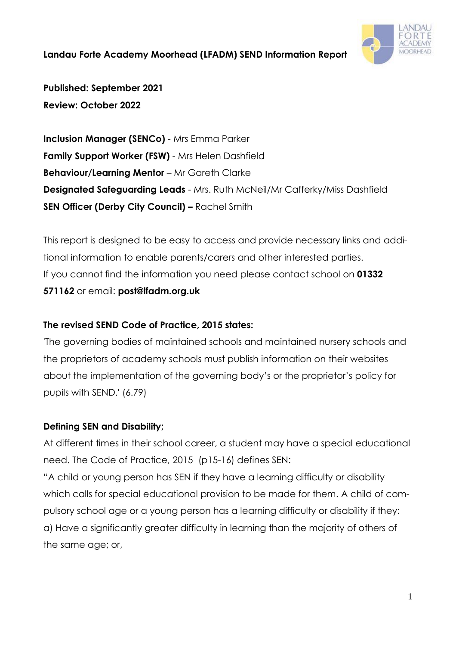

**Landau Forte Academy Moorhead (LFADM) SEND Information Report**

**Published: September 2021 Review: October 2022**

**Inclusion Manager (SENCo)** - Mrs Emma Parker **Family Support Worker (FSW)** - Mrs Helen Dashfield **Behaviour/Learning Mentor** – Mr Gareth Clarke **Designated Safeguarding Leads** - Mrs. Ruth McNeil/Mr Cafferky/Miss Dashfield **SEN Officer (Derby City Council) –** Rachel Smith

This report is designed to be easy to access and provide necessary links and additional information to enable parents/carers and other interested parties. If you cannot find the information you need please contact school on **01332 571162** or email: **post@lfadm.org.uk**

## **The revised SEND Code of Practice, 2015 states:**

'The governing bodies of maintained schools and maintained nursery schools and the proprietors of academy schools must publish information on their websites about the implementation of the governing body's or the proprietor's policy for pupils with SEND.' (6.79)

## **Defining SEN and Disability;**

At different times in their school career, a student may have a special educational need. The Code of Practice, 2015 (p15-16) defines SEN:

"A child or young person has SEN if they have a learning difficulty or disability which calls for special educational provision to be made for them. A child of compulsory school age or a young person has a learning difficulty or disability if they: a) Have a significantly greater difficulty in learning than the majority of others of the same age; or,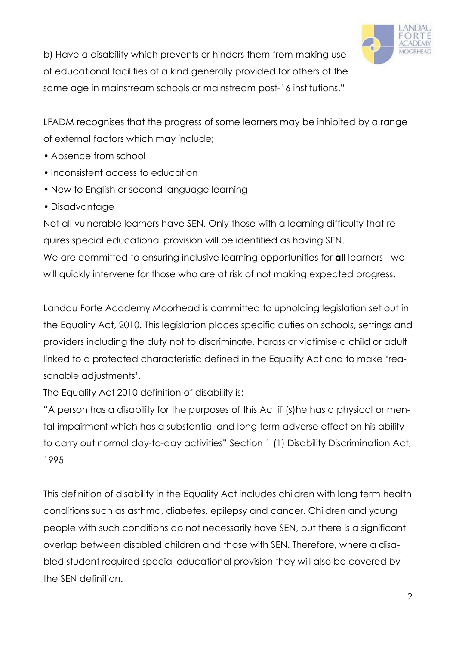

b) Have a disability which prevents or hinders them from making use of educational facilities of a kind generally provided for others of the same age in mainstream schools or mainstream post-16 institutions."

LFADM recognises that the progress of some learners may be inhibited by a range of external factors which may include;

- Absence from school
- Inconsistent access to education
- New to English or second language learning
- Disadvantage

Not all vulnerable learners have SEN. Only those with a learning difficulty that requires special educational provision will be identified as having SEN. We are committed to ensuring inclusive learning opportunities for **all** learners - we will quickly intervene for those who are at risk of not making expected progress.

Landau Forte Academy Moorhead is committed to upholding legislation set out in the Equality Act, 2010. This legislation places specific duties on schools, settings and providers including the duty not to discriminate, harass or victimise a child or adult linked to a protected characteristic defined in the Equality Act and to make 'reasonable adjustments'.

The Equality Act 2010 definition of disability is:

"A person has a disability for the purposes of this Act if (s)he has a physical or mental impairment which has a substantial and long term adverse effect on his ability to carry out normal day-to-day activities" Section 1 (1) Disability Discrimination Act, 1995

This definition of disability in the Equality Act includes children with long term health conditions such as asthma, diabetes, epilepsy and cancer. Children and young people with such conditions do not necessarily have SEN, but there is a significant overlap between disabled children and those with SEN. Therefore, where a disabled student required special educational provision they will also be covered by the SEN definition.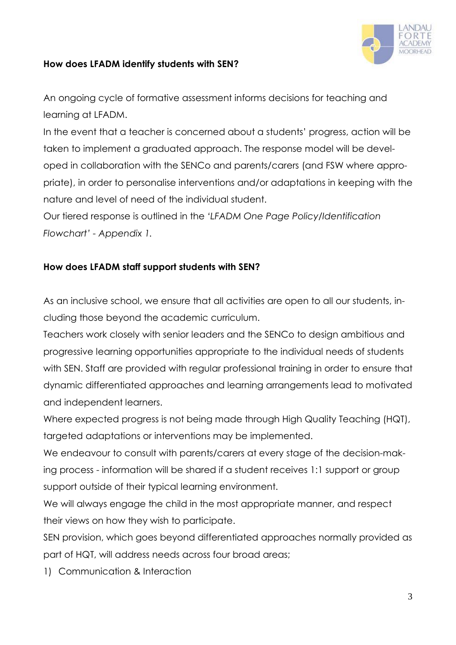

#### **How does LFADM identify students with SEN?**

An ongoing cycle of formative assessment informs decisions for teaching and learning at LFADM.

In the event that a teacher is concerned about a students' progress, action will be taken to implement a graduated approach. The response model will be developed in collaboration with the SENCo and parents/carers (and FSW where appropriate), in order to personalise interventions and/or adaptations in keeping with the nature and level of need of the individual student.

Our tiered response is outlined in the *'LFADM One Page Policy/Identification Flowchart' - Appendix 1.*

#### **How does LFADM staff support students with SEN?**

As an inclusive school, we ensure that all activities are open to all our students, including those beyond the academic curriculum.

Teachers work closely with senior leaders and the SENCo to design ambitious and progressive learning opportunities appropriate to the individual needs of students with SEN. Staff are provided with regular professional training in order to ensure that dynamic differentiated approaches and learning arrangements lead to motivated and independent learners.

Where expected progress is not being made through High Quality Teaching (HQT), targeted adaptations or interventions may be implemented.

We endeavour to consult with parents/carers at every stage of the decision-making process - information will be shared if a student receives 1:1 support or group support outside of their typical learning environment.

We will always engage the child in the most appropriate manner, and respect their views on how they wish to participate.

SEN provision, which goes beyond differentiated approaches normally provided as part of HQT, will address needs across four broad areas;

1) Communication & Interaction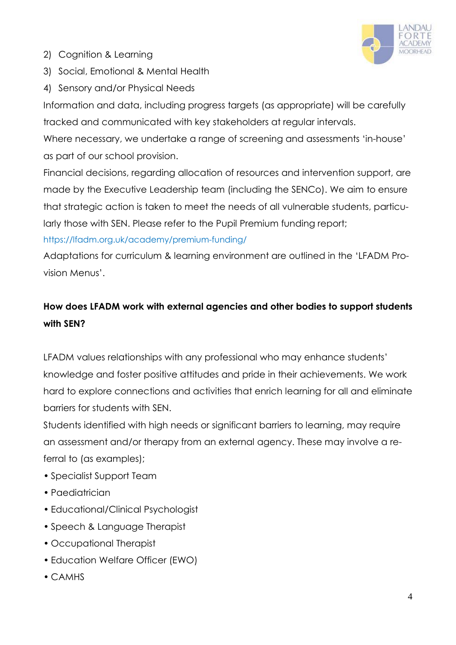2) Cognition & Learning



- 3) Social, Emotional & Mental Health
- 4) Sensory and/or Physical Needs

Information and data, including progress targets (as appropriate) will be carefully tracked and communicated with key stakeholders at regular intervals.

Where necessary, we undertake a range of screening and assessments 'in-house' as part of our school provision.

Financial decisions, regarding allocation of resources and intervention support, are made by the Executive Leadership team (including the SENCo). We aim to ensure that strategic action is taken to meet the needs of all vulnerable students, particularly those with SEN. Please refer to the Pupil Premium funding report;

#### https://lfadm.org.uk/academy/premium-funding/

Adaptations for curriculum & learning environment are outlined in the 'LFADM Provision Menus'.

# **How does LFADM work with external agencies and other bodies to support students with SEN?**

LFADM values relationships with any professional who may enhance students' knowledge and foster positive attitudes and pride in their achievements. We work hard to explore connections and activities that enrich learning for all and eliminate barriers for students with SEN.

Students identified with high needs or significant barriers to learning, may require an assessment and/or therapy from an external agency. These may involve a referral to (as examples);

- Specialist Support Team
- Paediatrician
- Educational/Clinical Psychologist
- Speech & Language Therapist
- Occupational Therapist
- Education Welfare Officer (EWO)
- CAMHS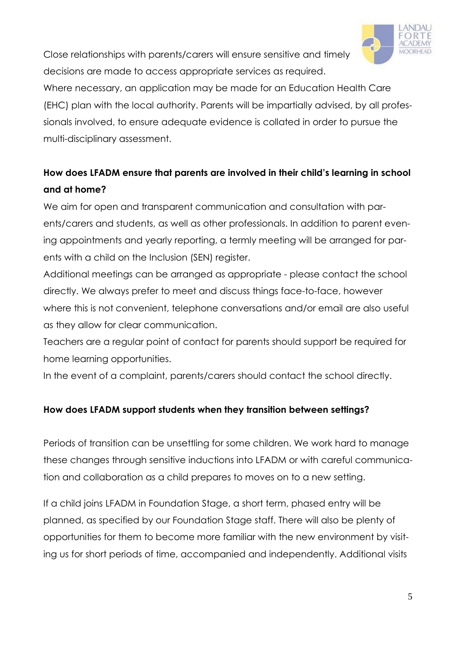

Close relationships with parents/carers will ensure sensitive and timely decisions are made to access appropriate services as required.

Where necessary, an application may be made for an Education Health Care (EHC) plan with the local authority. Parents will be impartially advised, by all professionals involved, to ensure adequate evidence is collated in order to pursue the multi-disciplinary assessment.

## **How does LFADM ensure that parents are involved in their child's learning in school and at home?**

We aim for open and transparent communication and consultation with parents/carers and students, as well as other professionals. In addition to parent evening appointments and yearly reporting, a termly meeting will be arranged for parents with a child on the Inclusion (SEN) register.

Additional meetings can be arranged as appropriate - please contact the school directly. We always prefer to meet and discuss things face-to-face, however where this is not convenient, telephone conversations and/or email are also useful as they allow for clear communication.

Teachers are a regular point of contact for parents should support be required for home learning opportunities.

In the event of a complaint, parents/carers should contact the school directly.

### **How does LFADM support students when they transition between settings?**

Periods of transition can be unsettling for some children. We work hard to manage these changes through sensitive inductions into LFADM or with careful communication and collaboration as a child prepares to moves on to a new setting.

If a child joins LFADM in Foundation Stage, a short term, phased entry will be planned, as specified by our Foundation Stage staff. There will also be plenty of opportunities for them to become more familiar with the new environment by visiting us for short periods of time, accompanied and independently. Additional visits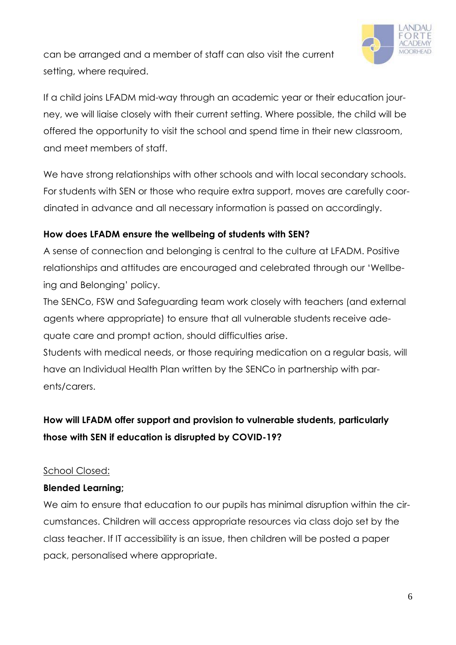

can be arranged and a member of staff can also visit the current setting, where required.

If a child joins LFADM mid-way through an academic year or their education journey, we will liaise closely with their current setting. Where possible, the child will be offered the opportunity to visit the school and spend time in their new classroom, and meet members of staff.

We have strong relationships with other schools and with local secondary schools. For students with SEN or those who require extra support, moves are carefully coordinated in advance and all necessary information is passed on accordingly.

#### **How does LFADM ensure the wellbeing of students with SEN?**

A sense of connection and belonging is central to the culture at LFADM. Positive relationships and attitudes are encouraged and celebrated through our 'Wellbeing and Belonging' policy.

The SENCo, FSW and Safeguarding team work closely with teachers (and external agents where appropriate) to ensure that all vulnerable students receive adequate care and prompt action, should difficulties arise.

Students with medical needs, or those requiring medication on a regular basis, will have an Individual Health Plan written by the SENCo in partnership with parents/carers.

# **How will LFADM offer support and provision to vulnerable students, particularly those with SEN if education is disrupted by COVID-19?**

#### School Closed:

#### **Blended Learning;**

We aim to ensure that education to our pupils has minimal disruption within the circumstances. Children will access appropriate resources via class dojo set by the class teacher. If IT accessibility is an issue, then children will be posted a paper pack, personalised where appropriate.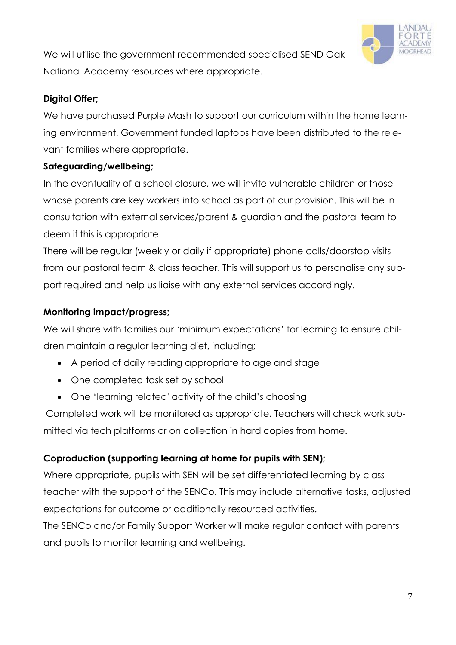

We will utilise the government recommended specialised SEND Oak National Academy resources where appropriate.

#### **Digital Offer;**

We have purchased Purple Mash to support our curriculum within the home learning environment. Government funded laptops have been distributed to the relevant families where appropriate.

#### **Safeguarding/wellbeing;**

In the eventuality of a school closure, we will invite vulnerable children or those whose parents are key workers into school as part of our provision. This will be in consultation with external services/parent & guardian and the pastoral team to deem if this is appropriate.

There will be regular (weekly or daily if appropriate) phone calls/doorstop visits from our pastoral team & class teacher. This will support us to personalise any support required and help us liaise with any external services accordingly.

### **Monitoring impact/progress;**

We will share with families our 'minimum expectations' for learning to ensure children maintain a regular learning diet, including;

- A period of daily reading appropriate to age and stage
- One completed task set by school
- One 'learning related' activity of the child's choosing

Completed work will be monitored as appropriate. Teachers will check work submitted via tech platforms or on collection in hard copies from home.

### **Coproduction (supporting learning at home for pupils with SEN);**

Where appropriate, pupils with SEN will be set differentiated learning by class teacher with the support of the SENCo. This may include alternative tasks, adjusted expectations for outcome or additionally resourced activities.

The SENCo and/or Family Support Worker will make regular contact with parents and pupils to monitor learning and wellbeing.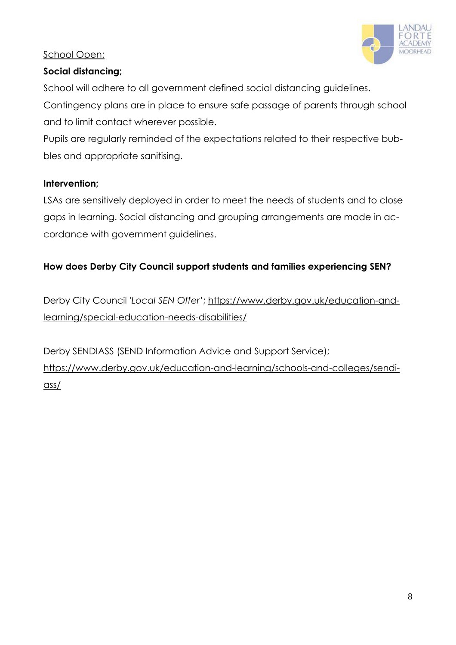#### School Open:

### **Social distancing;**

School will adhere to all government defined social distancing guidelines.

Contingency plans are in place to ensure safe passage of parents through school and to limit contact wherever possible.

Pupils are regularly reminded of the expectations related to their respective bubbles and appropriate sanitising.

#### **Intervention;**

LSAs are sensitively deployed in order to meet the needs of students and to close gaps in learning. Social distancing and grouping arrangements are made in accordance with government guidelines.

### **How does Derby City Council support students and families experiencing SEN?**

Derby City Council '*Local SEN Offer'*; [https://www.derby.gov.uk/education-and](https://www.derby.gov.uk/education-and-learning/special-education-needs-disabilities/)[learning/special-education-needs-disabilities/](https://www.derby.gov.uk/education-and-learning/special-education-needs-disabilities/)

Derby SENDIASS (SEND Information Advice and Support Service); [https://www.derby.gov.uk/education-and-learning/schools-and-colleges/sendi](https://www.derby.gov.uk/education-and-learning/schools-and-colleges/sendiass/)[ass/](https://www.derby.gov.uk/education-and-learning/schools-and-colleges/sendiass/)